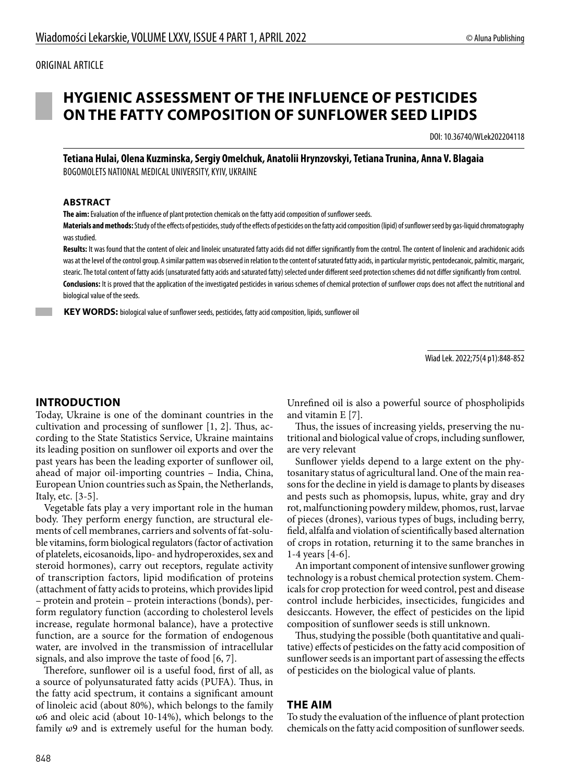#### ORIGINAL ARTICLE

# **HYGIENIC ASSESSMENT OF THE INFLUENCE OF PESTICIDES ON THE FATTY COMPOSITION OF SUNFLOWER SEED LIPIDS**

DOI: 10.36740/WLek202204118

**Tetiana Hulai, Olena Kuzminska, Sergiy Omelchuk, Anatolii Hrynzovskyi, Tetiana Trunina, Anna V. Blagaia** BOGOMOLETS NATIONAL MEDICAL UNIVERSITY, KYIV, UKRAINE

#### **ABSTRACT**

**The aim:** Evaluation of the influence of plant protection chemicals on the fatty acid composition of sunflower seeds.

**Materials and methods:** Study of the effects of pesticides, study of the effects of pesticides on the fatty acid composition (lipid) of sunflower seed by gas-liquid chromatography was studied.

Results: It was found that the content of oleic and linoleic unsaturated fatty acids did not differ significantly from the control. The content of linolenic and arachidonic acids was at the level of the control group. A similar pattern was observed in relation to the content of saturated fatty acids, in particular myristic, pentodecanoic, palmitic, margaric, stearic. The total content of fatty acids (unsaturated fatty acids and saturated fatty) selected under different seed protection schemes did not differ significantly from control. **Conclusions:** It is proved that the application of the investigated pesticides in various schemes of chemical protection of sunflower crops does not affect the nutritional and biological value of the seeds.

 **KEY WORDS:** biological value of sunflower seeds, pesticides, fatty acid composition, lipids, sunflower oil

Wiad Lek. 2022;75(4 p1):848-852

#### **INTRODUCTION**

Today, Ukraine is one of the dominant countries in the cultivation and processing of sunflower [1, 2]. Thus, according to the State Statistics Service, Ukraine maintains its leading position on sunflower oil exports and over the past years has been the leading exporter of sunflower oil, ahead of major oil-importing countries – India, China, European Union countries such as Spain, the Netherlands, Italy, etc. [3-5].

Vegetable fats play a very important role in the human body. They perform energy function, are structural elements of cell membranes, carriers and solvents of fat-soluble vitamins, form biological regulators (factor of activation of platelets, eicosanoids, lipo- and hydroperoxides, sex and steroid hormones), carry out receptors, regulate activity of transcription factors, lipid modification of proteins (attachment of fatty acids to proteins, which provides lipid – protein and protein – protein interactions (bonds), perform regulatory function (according to cholesterol levels increase, regulate hormonal balance), have a protective function, are a source for the formation of endogenous water, are involved in the transmission of intracellular signals, and also improve the taste of food [6, 7].

Therefore, sunflower oil is a useful food, first of all, as a source of polyunsaturated fatty acids (PUFA). Thus, in the fatty acid spectrum, it contains a significant amount of linoleic acid (about 80%), which belongs to the family ω6 and oleic acid (about 10-14%), which belongs to the family ω9 and is extremely useful for the human body.

Unrefined oil is also a powerful source of phospholipids and vitamin E [7].

Thus, the issues of increasing yields, preserving the nutritional and biological value of crops, including sunflower, are very relevant

Sunflower yields depend to a large extent on the phytosanitary status of agricultural land. One of the main reasons for the decline in yield is damage to plants by diseases and pests such as phomopsis, lupus, white, gray and dry rot, malfunctioning powdery mildew, phomos, rust, larvae of pieces (drones), various types of bugs, including berry, field, alfalfa and violation of scientifically based alternation of crops in rotation, returning it to the same branches in 1-4 years [4-6].

An important component of intensive sunflower growing technology is a robust chemical protection system. Chemicals for crop protection for weed control, pest and disease control include herbicides, insecticides, fungicides and desiccants. However, the effect of pesticides on the lipid composition of sunflower seeds is still unknown.

Thus, studying the possible (both quantitative and qualitative) effects of pesticides on the fatty acid composition of sunflower seeds is an important part of assessing the effects of pesticides on the biological value of plants.

#### **THE AIM**

To study the evaluation of the influence of plant protection chemicals on the fatty acid composition of sunflower seeds.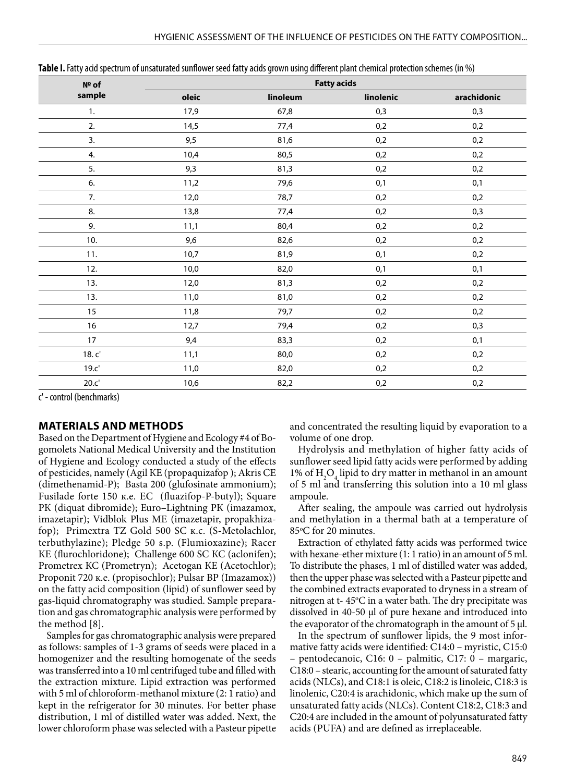| Nº of  | <b>Fatty acids</b> |          |           |             |  |
|--------|--------------------|----------|-----------|-------------|--|
| sample | oleic              | linoleum | linolenic | arachidonic |  |
| 1.     | 17,9               | 67,8     | 0,3       | 0,3         |  |
| 2.     | 14,5               | 77,4     | 0,2       | 0,2         |  |
| 3.     | 9,5                | 81,6     | 0,2       | 0,2         |  |
| 4.     | 10,4               | 80,5     | $0,2$     | 0,2         |  |
| 5.     | 9,3                | 81,3     | 0,2       | 0,2         |  |
| 6.     | 11,2               | 79,6     | 0,1       | 0,1         |  |
| 7.     | 12,0               | 78,7     | 0,2       | 0,2         |  |
| 8.     | 13,8               | 77,4     | 0,2       | 0,3         |  |
| 9.     | 11,1               | 80,4     | 0,2       | 0,2         |  |
| 10.    | 9,6                | 82,6     | 0,2       | 0,2         |  |
| 11.    | 10,7               | 81,9     | 0,1       | 0,2         |  |
| 12.    | 10,0               | 82,0     | 0,1       | 0,1         |  |
| 13.    | 12,0               | 81,3     | 0,2       | 0,2         |  |
| 13.    | 11,0               | 81,0     | 0,2       | 0,2         |  |
| 15     | 11,8               | 79,7     | 0,2       | 0,2         |  |
| 16     | 12,7               | 79,4     | 0,2       | 0,3         |  |
| 17     | 9,4                | 83,3     | 0,2       | 0,1         |  |
| 18.c'  | 11,1               | 80,0     | 0,2       | 0,2         |  |
| 19.c   | 11,0               | 82,0     | 0,2       | 0,2         |  |
| 20.c'  | 10,6               | 82,2     | 0,2       | 0,2         |  |

**Table І.** Fatty acid spectrum of unsaturated sunflower seed fatty acids grown using different plant chemical protection schemes (in %)

с' - control (benchmarks)

### **MATERIALS AND METHODS**

Based on the Department of Hygiene and Ecology #4 of Bogomolets National Medical University and the Institution of Hygiene and Ecology conducted a study of the effects of pesticides, namely (Agil КЕ (propaquizafop ); Akris СЕ (dimethenamid-P); Basta 200 (glufosinate ammonium); Fusilade forte 150 к.е. EC (fluazifop-P-butyl); Square РК (diquat dibromide); Euro–Lightning РК (imazamox, imazetapir); Vidblok Plus МЕ (imazetapir, рropakhizafop); Primextra ТZ Gold 500 SC к.с. (S-Metolachlor, terbuthylazine); Pledge 50 s.p. (Flumioxazine); Racer КЕ (flurochloridone); Challenge 600 SC КС (aclonifen); Prometrex КС (Prometryn); Acetogan КЕ (Acetochlor); Proponit 720 к.е. (propisochlor); Pulsar ВР (Imazamox)) on the fatty acid composition (lipid) of sunflower seed by gas-liquid chromatography was studied. Sample preparation and gas chromatographic analysis were performed by the method [8].

Samples for gas chromatographic analysis were prepared as follows: samples of 1-3 grams of seeds were placed in a homogenizer and the resulting homogenate of the seeds was transferred into a 10 ml centrifuged tube and filled with the extraction mixture. Lipid extraction was performed with 5 ml of chloroform-methanol mixture (2: 1 ratio) and kept in the refrigerator for 30 minutes. For better phase distribution, 1 ml of distilled water was added. Next, the lower chloroform phase was selected with a Pasteur pipette and concentrated the resulting liquid by evaporation to a volume of one drop.

Hydrolysis and methylation of higher fatty acids of sunflower seed lipid fatty acids were performed by adding 1% of  $H_2O_4$  lipid to dry matter in methanol in an amount of 5 ml and transferring this solution into a 10 ml glass ampoule.

After sealing, the ampoule was carried out hydrolysis and methylation in a thermal bath at a temperature of 85°C for 20 minutes.

Extraction of ethylated fatty acids was performed twice with hexane-ether mixture (1: 1 ratio) in an amount of 5 ml. To distribute the phases, 1 ml of distilled water was added, then the upper phase was selected with a Pasteur pipette and the combined extracts evaporated to dryness in a stream of nitrogen at t-45°C in a water bath. The dry precipitate was dissolved in 40-50 μl of pure hexane and introduced into the evaporator of the chromatograph in the amount of 5 μl.

In the spectrum of sunflower lipids, the 9 most informative fatty acids were identified: C14:0 – myristic, C15:0 – pentodecanoic, C16: 0 – palmitic, C17: 0 – margaric, C18:0 – stearic, accounting for the amount of saturated fatty acids (NLCs), and C18:1 is oleic, C18:2 is linoleic, C18:3 is linolenic, C20:4 is arachidonic, which make up the sum of unsaturated fatty acids (NLCs). Content C18:2, C18:3 and C20:4 are included in the amount of polyunsaturated fatty acids (PUFA) and are defined as irreplaceable.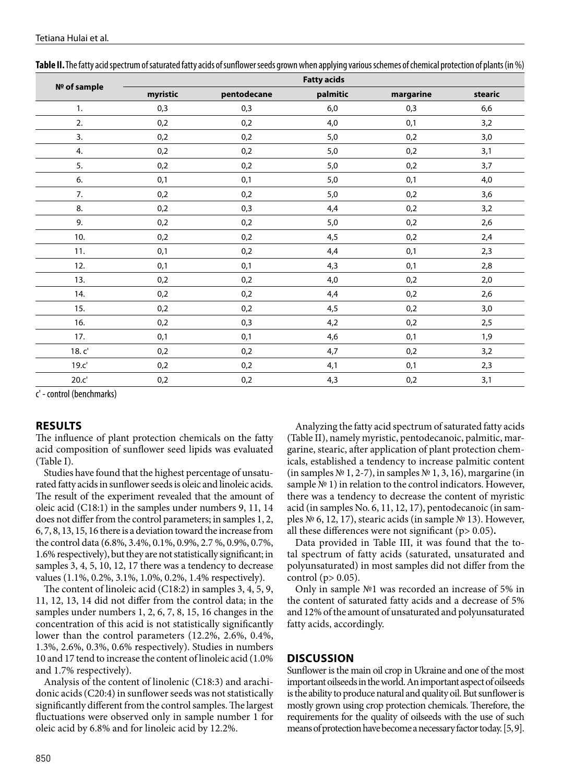| Nº of sample | <b>Fatty acids</b> |             |          |           |         |  |
|--------------|--------------------|-------------|----------|-----------|---------|--|
|              | myristic           | pentodecane | palmitic | margarine | stearic |  |
| 1.           | 0,3                | 0,3         | 6,0      | 0,3       | 6,6     |  |
| 2.           | 0,2                | 0,2         | 4,0      | 0,1       | 3,2     |  |
| 3.           | 0,2                | 0,2         | 5,0      | 0,2       | 3,0     |  |
| 4.           | 0,2                | 0,2         | 5,0      | 0,2       | 3,1     |  |
| 5.           | 0,2                | 0,2         | 5,0      | 0,2       | 3,7     |  |
| 6.           | 0,1                | 0,1         | 5,0      | 0,1       | 4,0     |  |
| 7.           | 0,2                | 0,2         | 5,0      | 0,2       | 3,6     |  |
| 8.           | 0,2                | 0,3         | 4,4      | 0,2       | 3,2     |  |
| 9.           | 0,2                | 0,2         | 5,0      | 0,2       | 2,6     |  |
| 10.          | 0,2                | 0,2         | 4,5      | 0,2       | 2,4     |  |
| 11.          | 0,1                | 0,2         | 4,4      | 0,1       | 2,3     |  |
| 12.          | 0,1                | 0,1         | 4,3      | 0,1       | 2,8     |  |
| 13.          | 0,2                | 0,2         | 4,0      | 0,2       | $2,0$   |  |
| 14.          | 0,2                | 0,2         | 4,4      | 0,2       | 2,6     |  |
| 15.          | 0,2                | 0,2         | 4,5      | 0,2       | 3,0     |  |
| 16.          | 0,2                | 0,3         | 4,2      | 0,2       | 2,5     |  |
| 17.          | 0,1                | 0,1         | 4,6      | 0,1       | 1,9     |  |
| 18.c'        | 0,2                | 0,2         | 4,7      | 0,2       | 3,2     |  |
| 19.c'        | 0,2                | 0,2         | 4,1      | 0,1       | 2,3     |  |
| 20.c'        | 0,2                | 0,2         | 4,3      | 0,2       | 3,1     |  |

| Table II. The fatty acid spectrum of saturated fatty acids of sunflower seeds grown when applying various schemes of chemical protection of plants (in %) |  |  |  |
|-----------------------------------------------------------------------------------------------------------------------------------------------------------|--|--|--|
|                                                                                                                                                           |  |  |  |

с' - control (benchmarks)

#### **RESULTS**

The influence of plant protection chemicals on the fatty acid composition of sunflower seed lipids was evaluated (Table І).

Studies have found that the highest percentage of unsaturated fatty acids in sunflower seeds is oleic and linoleic acids. The result of the experiment revealed that the amount of oleic acid (C18:1) in the samples under numbers 9, 11, 14 does not differ from the control parameters; in samples 1, 2, 6, 7, 8, 13, 15, 16 there is a deviation toward the increase from the control data (6.8%, 3.4%, 0.1%, 0.9%, 2.7 %, 0.9%, 0.7%, 1.6% respectively), but they are not statistically significant; in samples 3, 4, 5, 10, 12, 17 there was a tendency to decrease values (1.1%, 0.2%, 3.1%, 1.0%, 0.2%, 1.4% respectively).

The content of linoleic acid (C18:2) in samples 3, 4, 5, 9, 11, 12, 13, 14 did not differ from the control data; in the samples under numbers 1, 2, 6, 7, 8, 15, 16 changes in the concentration of this acid is not statistically significantly lower than the control parameters (12.2%, 2.6%, 0.4%, 1.3%, 2.6%, 0.3%, 0.6% respectively). Studies in numbers 10 and 17 tend to increase the content of linoleic acid (1.0% and 1.7% respectively).

Analysis of the content of linolenic (C18:3) and arachidonic acids (C20:4) in sunflower seeds was not statistically significantly different from the control samples. The largest fluctuations were observed only in sample number 1 for oleic acid by 6.8% and for linoleic acid by 12.2%.

Analyzing the fatty acid spectrum of saturated fatty acids (Table ІІ), namely myristic, pentodecanoic, palmitic, margarine, stearic, after application of plant protection chemicals, established a tendency to increase palmitic content (in samples № 1, 2-7), in samples № 1, 3, 16), margarine (in sample № 1) in relation to the control indicators. However, there was a tendency to decrease the content of myristic acid (in samples No. 6, 11, 12, 17), pentodecanoic (in samples № 6, 12, 17), stearic acids (in sample № 13). However, all these differences were not significant (p> 0.05)**.**

Data provided in Table ІІІ, it was found that the total spectrum of fatty acids (saturated, unsaturated and polyunsaturated) in most samples did not differ from the control ( $p > 0.05$ ).

Only in sample №1 was recorded an increase of 5% in the content of saturated fatty acids and a decrease of 5% and 12% of the amount of unsaturated and polyunsaturated fatty acids, accordingly.

#### **DISCUSSION**

Sunflower is the main oil crop in Ukraine and one of the most important oilseeds in the world. An important aspect of oilseeds is the ability to produce natural and quality oil. But sunflower is mostly grown using crop protection chemicals. Therefore, the requirements for the quality of oilseeds with the use of such means of protection have become a necessary factor today. [5, 9].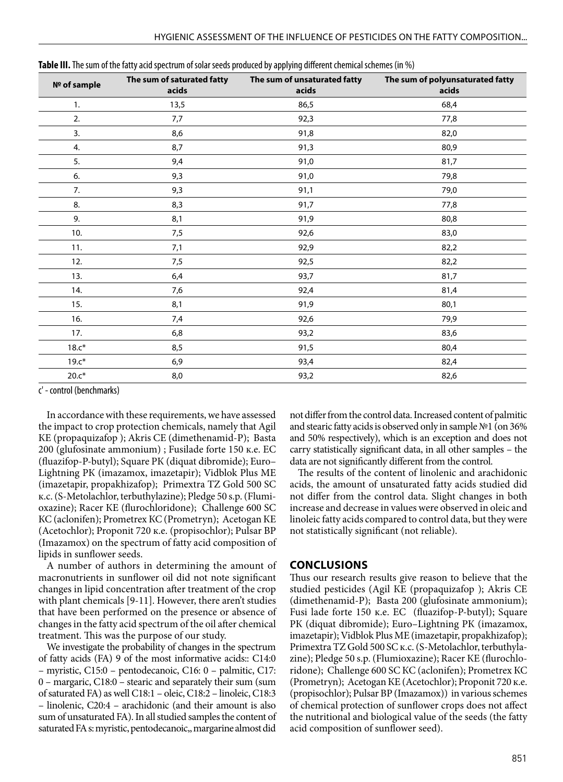| Nº of sample | The sum of saturated fatty<br>acids | The sum of unsaturated fatty<br>acids | The sum of polyunsaturated fatty<br>acids |
|--------------|-------------------------------------|---------------------------------------|-------------------------------------------|
| 1.           | 13,5                                | 86,5                                  | 68,4                                      |
| 2.           | 7,7                                 | 92,3                                  | 77,8                                      |
| 3.           | 8,6                                 | 91,8                                  | 82,0                                      |
| 4.           | 8,7                                 | 91,3                                  | 80,9                                      |
| 5.           | 9,4                                 | 91,0                                  | 81,7                                      |
| 6.           | 9,3                                 | 91,0                                  | 79,8                                      |
| 7.           | 9,3                                 | 91,1                                  | 79,0                                      |
| 8.           | 8,3                                 | 91,7                                  | 77,8                                      |
| 9.           | 8,1                                 | 91,9                                  | 80,8                                      |
| 10.          | 7,5                                 | 92,6                                  | 83,0                                      |
| 11.          | 7,1                                 | 92,9                                  | 82,2                                      |
| 12.          | 7,5                                 | 92,5                                  | 82,2                                      |
| 13.          | 6,4                                 | 93,7                                  | 81,7                                      |
| 14.          | 7,6                                 | 92,4                                  | 81,4                                      |
| 15.          | 8,1                                 | 91,9                                  | 80,1                                      |
| 16.          | 7,4                                 | 92,6                                  | 79,9                                      |
| 17.          | 6,8                                 | 93,2                                  | 83,6                                      |
| $18.c*$      | 8,5                                 | 91,5                                  | 80,4                                      |
| $19.c*$      | 6,9                                 | 93,4                                  | 82,4                                      |
| $20.c*$      | 8,0                                 | 93,2                                  | 82,6                                      |

**Table ІІІ.** The sum of the fatty acid spectrum of solar seeds produced by applying different chemical schemes (in %)

с' - control (benchmarks)

In accordance with these requirements, we have assessed the impact to crop protection chemicals, namely that Agil КЕ (propaquizafop ); Akris СЕ (dimethenamid-P); Basta 200 (glufosinate ammonium) ; Fusilade forte 150 к.е. EC (fluazifop-P-butyl); Square РК (diquat dibromide); Euro– Lightning РК (imazamox, imazetapir); Vidblok Plus МЕ (imazetapir, рropakhizafop); Primextra ТZ Gold 500 SC к.с. (S-Metolachlor, terbuthylazine); Pledge 50 s.p. (Flumioxazine); Racer КЕ (flurochloridone); Challenge 600 SC КС (aclonifen); Prometrex КС (Prometryn); Acetogan КЕ (Acetochlor); Proponit 720 к.е. (propisochlor); Pulsar ВР (Imazamox) on the spectrum of fatty acid composition of lipids in sunflower seeds.

A number of authors in determining the amount of macronutrients in sunflower oil did not note significant changes in lipid concentration after treatment of the crop with plant chemicals [9-11]. However, there aren't studies that have been performed on the presence or absence of changes in the fatty acid spectrum of the oil after chemical treatment. This was the purpose of our study.

We investigate the probability of changes in the spectrum of fatty acids (FA) 9 of the most informative acids:: C14:0 – myristic, C15:0 – pentodecanoic, C16: 0 – palmitic, C17: 0 – margaric, C18:0 – stearic and separately their sum (sum of saturated FA) as well C18:1 – oleic, C18:2 – linoleic, C18:3 – linolenic, C20:4 – arachidonic (and their amount is also sum of unsaturated FA). In all studied samples the content of saturated FA s: myristic, pentodecanoic,, margarine almost did not differ from the control data. Increased content of palmitic and stearic fatty acids is observed only in sample №1 (on 36% and 50% respectively), which is an exception and does not carry statistically significant data, in all other samples – the data are not significantly different from the control.

The results of the content of linolenic and arachidonic acids, the amount of unsaturated fatty acids studied did not differ from the control data. Slight changes in both increase and decrease in values were observed in oleic and linoleic fatty acids compared to control data, but they were not statistically significant (not reliable).

#### **CONCLUSIONS**

Thus our research results give reason to believe that the studied pesticides (Agil КЕ (propaquizafop ); Akris СЕ (dimethenamid-P); Basta 200 (glufosinate ammonium); Fusi lade forte 150 к.е. EC (fluazifop-P-butyl); Square РК (diquat dibromide); Euro–Lightning РК (imazamox, imazetapir); Vidblok Plus МЕ (imazetapir, рropakhizafop); Primextra ТZ Gold 500 SC к.с. (S-Metolachlor, terbuthylazine); Pledge 50 s.p. (Flumioxazine); Racer КЕ (flurochloridone); Challenge 600 SC КС (aclonifen); Prometrex КС (Prometryn); Acetogan КЕ (Acetochlor); Proponit 720 к.е. (propisochlor); Pulsar ВР (Imazamox)) in various schemes of chemical protection of sunflower crops does not affect the nutritional and biological value of the seeds (the fatty acid composition of sunflower seed).